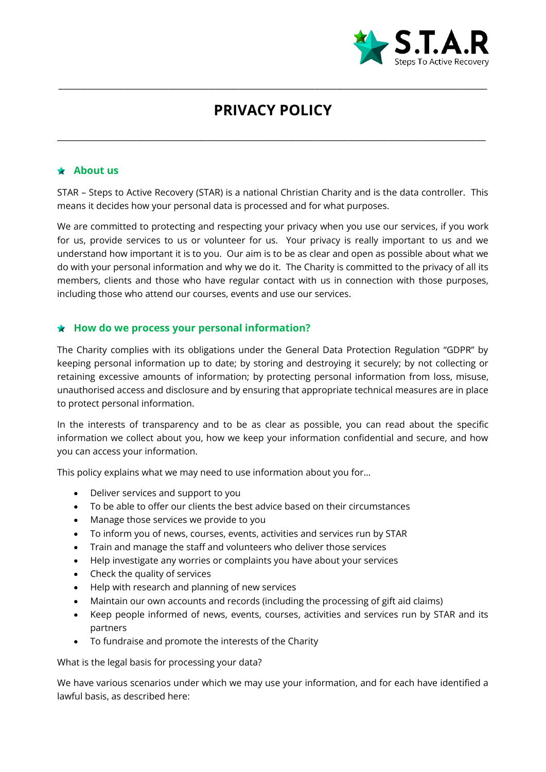

# **PRIVACY POLICY**

\_\_\_\_\_\_\_\_\_\_\_\_\_\_\_\_\_\_\_\_\_\_\_\_\_\_\_\_\_\_\_\_\_\_\_\_\_\_\_\_\_\_\_\_\_\_\_\_\_\_\_\_\_\_\_\_\_\_\_\_\_\_\_\_\_\_\_\_\_\_\_\_\_\_\_\_\_\_\_\_\_\_\_\_\_\_\_\_\_\_\_\_\_\_\_\_\_

\_\_\_\_\_\_\_\_\_\_\_\_\_\_\_\_\_\_\_\_\_\_\_\_\_\_\_\_\_\_\_\_\_\_\_\_\_\_\_\_\_\_\_\_\_\_\_\_\_\_\_\_\_\_\_\_\_\_\_\_\_\_\_\_\_\_\_\_\_\_\_\_\_\_\_\_\_\_\_\_\_\_\_\_\_\_\_\_\_\_\_\_\_\_\_\_\_

#### **About us**

STAR – Steps to Active Recovery (STAR) is a national Christian Charity and is the data controller. This means it decides how your personal data is processed and for what purposes.

We are committed to protecting and respecting your privacy when you use our services, if you work for us, provide services to us or volunteer for us. Your privacy is really important to us and we understand how important it is to you. Our aim is to be as clear and open as possible about what we do with your personal information and why we do it. The Charity is committed to the privacy of all its members, clients and those who have regular contact with us in connection with those purposes, including those who attend our courses, events and use our services.

#### **How do we process your personal information?**

The Charity complies with its obligations under the General Data Protection Regulation "GDPR" by keeping personal information up to date; by storing and destroying it securely; by not collecting or retaining excessive amounts of information; by protecting personal information from loss, misuse, unauthorised access and disclosure and by ensuring that appropriate technical measures are in place to protect personal information.

In the interests of transparency and to be as clear as possible, you can read about the specific information we collect about you, how we keep your information confidential and secure, and how you can access your information.

This policy explains what we may need to use information about you for…

- Deliver services and support to you
- To be able to offer our clients the best advice based on their circumstances
- Manage those services we provide to you
- To inform you of news, courses, events, activities and services run by STAR
- Train and manage the staff and volunteers who deliver those services
- Help investigate any worries or complaints you have about your services
- Check the quality of services
- Help with research and planning of new services
- Maintain our own accounts and records (including the processing of gift aid claims)
- Keep people informed of news, events, courses, activities and services run by STAR and its partners
- To fundraise and promote the interests of the Charity

What is the legal basis for processing your data?

We have various scenarios under which we may use your information, and for each have identified a lawful basis, as described here: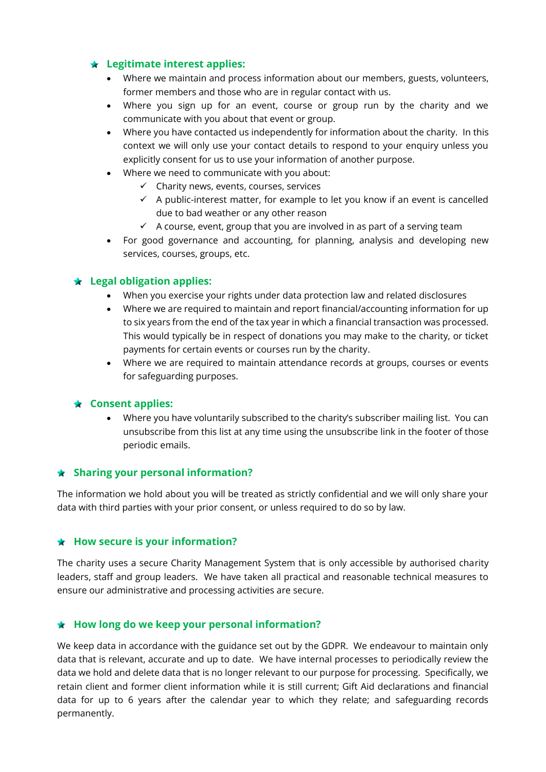# **Legitimate interest applies:**

- Where we maintain and process information about our members, guests, volunteers, former members and those who are in regular contact with us.
- Where you sign up for an event, course or group run by the charity and we communicate with you about that event or group.
- Where you have contacted us independently for information about the charity. In this context we will only use your contact details to respond to your enquiry unless you explicitly consent for us to use your information of another purpose.
- Where we need to communicate with you about:
	- $\checkmark$  Charity news, events, courses, services
	- $\checkmark$  A public-interest matter, for example to let you know if an event is cancelled due to bad weather or any other reason
	- $\checkmark$  A course, event, group that you are involved in as part of a serving team
- For good governance and accounting, for planning, analysis and developing new services, courses, groups, etc.

# **Legal obligation applies:**

- When you exercise your rights under data protection law and related disclosures
- Where we are required to maintain and report financial/accounting information for up to six years from the end of the tax year in which a financial transaction was processed. This would typically be in respect of donations you may make to the charity, or ticket payments for certain events or courses run by the charity.
- Where we are required to maintain attendance records at groups, courses or events for safeguarding purposes.

#### **Consent applies:**

 Where you have voluntarily subscribed to the charity's subscriber mailing list. You can unsubscribe from this list at any time using the unsubscribe link in the footer of those periodic emails.

#### **Sharing your personal information?**

The information we hold about you will be treated as strictly confidential and we will only share your data with third parties with your prior consent, or unless required to do so by law.

#### **How secure is your information?**

The charity uses a secure Charity Management System that is only accessible by authorised charity leaders, staff and group leaders. We have taken all practical and reasonable technical measures to ensure our administrative and processing activities are secure.

#### **How long do we keep your personal information?**

We keep data in accordance with the guidance set out by the GDPR. We endeavour to maintain only data that is relevant, accurate and up to date. We have internal processes to periodically review the data we hold and delete data that is no longer relevant to our purpose for processing. Specifically, we retain client and former client information while it is still current; Gift Aid declarations and financial data for up to 6 years after the calendar year to which they relate; and safeguarding records permanently.